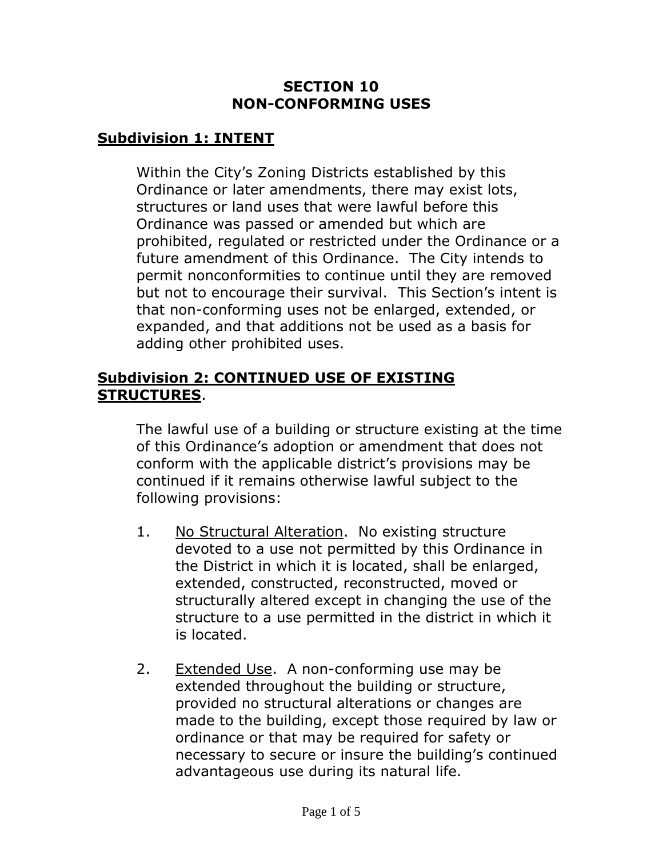#### **SECTION 10 NON-CONFORMING USES**

#### **Subdivision 1: INTENT**

Within the City's Zoning Districts established by this Ordinance or later amendments, there may exist lots, structures or land uses that were lawful before this Ordinance was passed or amended but which are prohibited, regulated or restricted under the Ordinance or a future amendment of this Ordinance. The City intends to permit nonconformities to continue until they are removed but not to encourage their survival. This Section's intent is that non-conforming uses not be enlarged, extended, or expanded, and that additions not be used as a basis for adding other prohibited uses.

#### **Subdivision 2: CONTINUED USE OF EXISTING STRUCTURES**.

The lawful use of a building or structure existing at the time of this Ordinance's adoption or amendment that does not conform with the applicable district's provisions may be continued if it remains otherwise lawful subject to the following provisions:

- 1. No Structural Alteration. No existing structure devoted to a use not permitted by this Ordinance in the District in which it is located, shall be enlarged, extended, constructed, reconstructed, moved or structurally altered except in changing the use of the structure to a use permitted in the district in which it is located.
- 2. Extended Use. A non-conforming use may be extended throughout the building or structure, provided no structural alterations or changes are made to the building, except those required by law or ordinance or that may be required for safety or necessary to secure or insure the building's continued advantageous use during its natural life.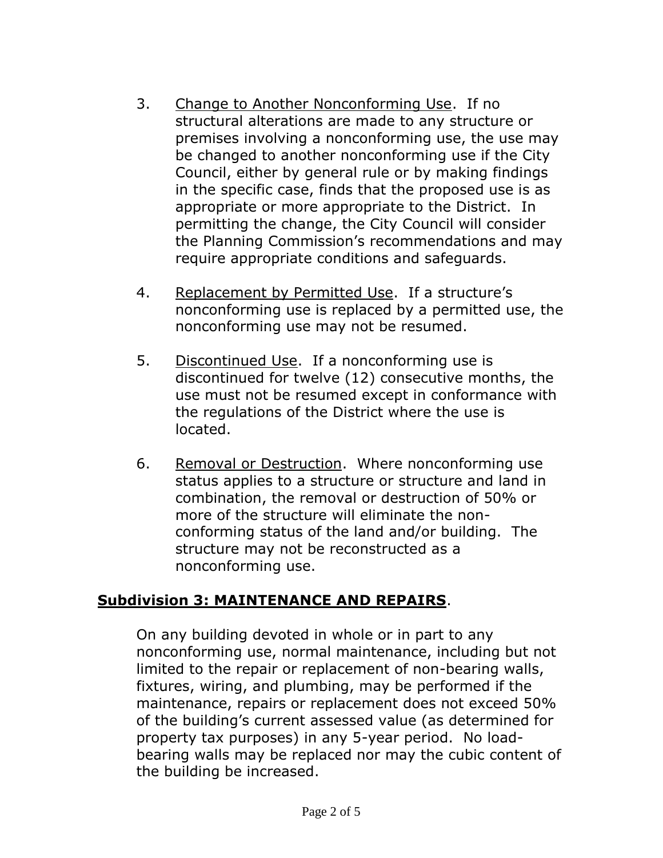- 3. Change to Another Nonconforming Use. If no structural alterations are made to any structure or premises involving a nonconforming use, the use may be changed to another nonconforming use if the City Council, either by general rule or by making findings in the specific case, finds that the proposed use is as appropriate or more appropriate to the District. In permitting the change, the City Council will consider the Planning Commission's recommendations and may require appropriate conditions and safeguards.
- 4. Replacement by Permitted Use. If a structure's nonconforming use is replaced by a permitted use, the nonconforming use may not be resumed.
- 5. Discontinued Use. If a nonconforming use is discontinued for twelve (12) consecutive months, the use must not be resumed except in conformance with the regulations of the District where the use is located.
- 6. Removal or Destruction. Where nonconforming use status applies to a structure or structure and land in combination, the removal or destruction of 50% or more of the structure will eliminate the nonconforming status of the land and/or building. The structure may not be reconstructed as a nonconforming use.

## **Subdivision 3: MAINTENANCE AND REPAIRS**.

On any building devoted in whole or in part to any nonconforming use, normal maintenance, including but not limited to the repair or replacement of non-bearing walls, fixtures, wiring, and plumbing, may be performed if the maintenance, repairs or replacement does not exceed 50% of the building's current assessed value (as determined for property tax purposes) in any 5-year period. No loadbearing walls may be replaced nor may the cubic content of the building be increased.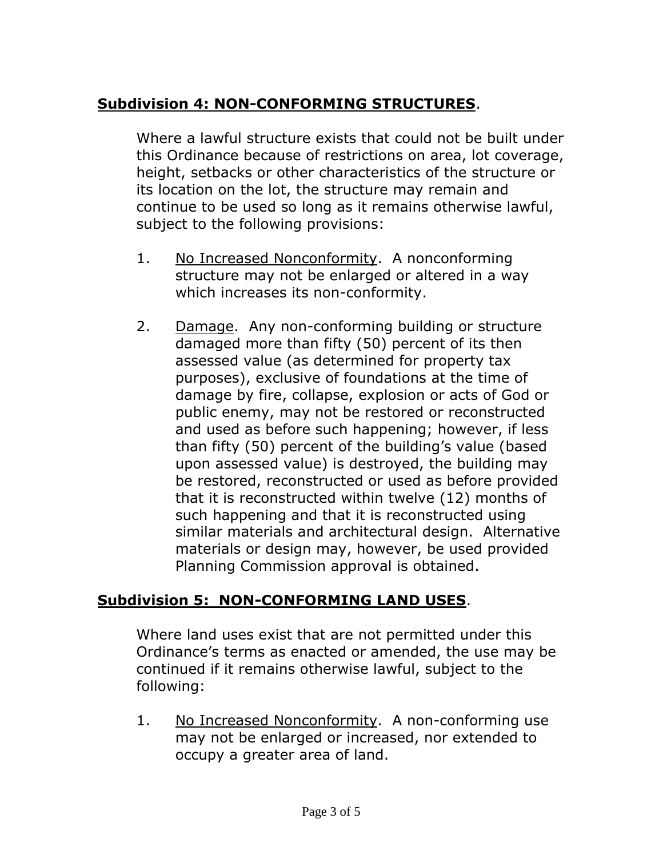# **Subdivision 4: NON-CONFORMING STRUCTURES**.

Where a lawful structure exists that could not be built under this Ordinance because of restrictions on area, lot coverage, height, setbacks or other characteristics of the structure or its location on the lot, the structure may remain and continue to be used so long as it remains otherwise lawful, subject to the following provisions:

- 1. No Increased Nonconformity. A nonconforming structure may not be enlarged or altered in a way which increases its non-conformity.
- 2. Damage. Any non-conforming building or structure damaged more than fifty (50) percent of its then assessed value (as determined for property tax purposes), exclusive of foundations at the time of damage by fire, collapse, explosion or acts of God or public enemy, may not be restored or reconstructed and used as before such happening; however, if less than fifty (50) percent of the building's value (based upon assessed value) is destroyed, the building may be restored, reconstructed or used as before provided that it is reconstructed within twelve (12) months of such happening and that it is reconstructed using similar materials and architectural design. Alternative materials or design may, however, be used provided Planning Commission approval is obtained.

## **Subdivision 5: NON-CONFORMING LAND USES**.

Where land uses exist that are not permitted under this Ordinance's terms as enacted or amended, the use may be continued if it remains otherwise lawful, subject to the following:

1. No Increased Nonconformity. A non-conforming use may not be enlarged or increased, nor extended to occupy a greater area of land.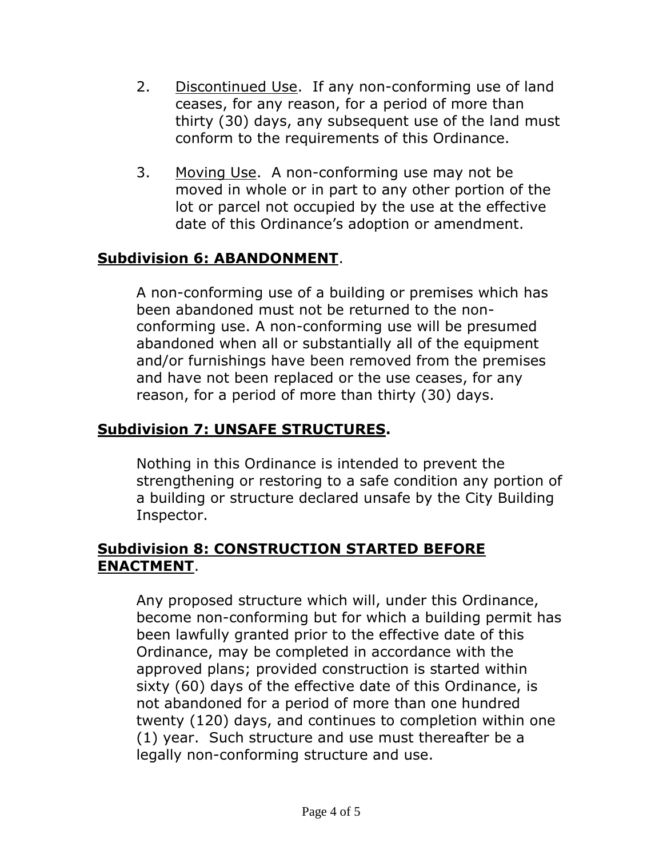- 2. Discontinued Use. If any non-conforming use of land ceases, for any reason, for a period of more than thirty (30) days, any subsequent use of the land must conform to the requirements of this Ordinance.
- 3. Moving Use. A non-conforming use may not be moved in whole or in part to any other portion of the lot or parcel not occupied by the use at the effective date of this Ordinance's adoption or amendment.

# **Subdivision 6: ABANDONMENT**.

A non-conforming use of a building or premises which has been abandoned must not be returned to the nonconforming use. A non-conforming use will be presumed abandoned when all or substantially all of the equipment and/or furnishings have been removed from the premises and have not been replaced or the use ceases, for any reason, for a period of more than thirty (30) days.

## **Subdivision 7: UNSAFE STRUCTURES.**

Nothing in this Ordinance is intended to prevent the strengthening or restoring to a safe condition any portion of a building or structure declared unsafe by the City Building Inspector.

#### **Subdivision 8: CONSTRUCTION STARTED BEFORE ENACTMENT**.

Any proposed structure which will, under this Ordinance, become non-conforming but for which a building permit has been lawfully granted prior to the effective date of this Ordinance, may be completed in accordance with the approved plans; provided construction is started within sixty (60) days of the effective date of this Ordinance, is not abandoned for a period of more than one hundred twenty (120) days, and continues to completion within one (1) year. Such structure and use must thereafter be a legally non-conforming structure and use.